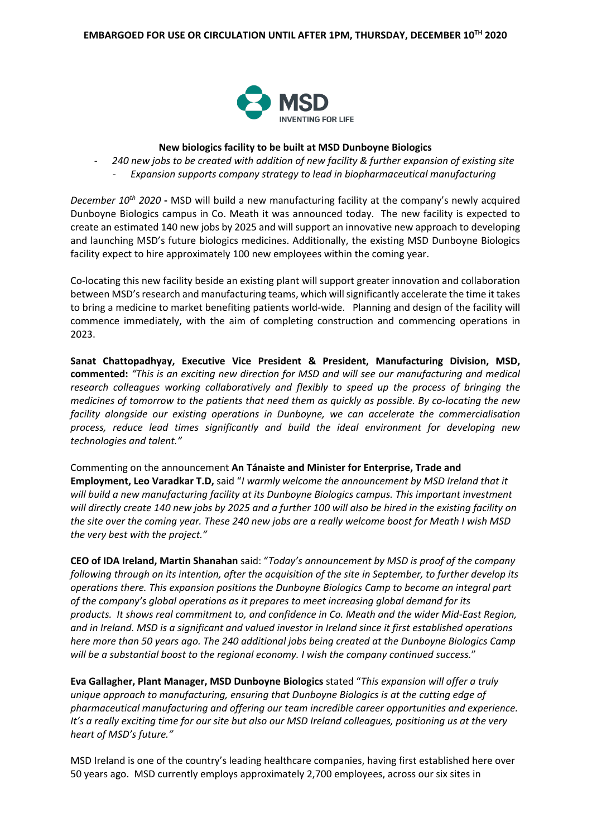

## **New biologics facility to be built at MSD Dunboyne Biologics**

- *240 new jobs to be created with addition of new facility & further expansion of existing site*

- *Expansion supports company strategy to lead in biopharmaceutical manufacturing*

*December 10th 2020* **-** MSD will build a new manufacturing facility at the company's newly acquired Dunboyne Biologics campus in Co. Meath it was announced today. The new facility is expected to create an estimated 140 new jobs by 2025 and will support an innovative new approach to developing and launching MSD's future biologics medicines. Additionally, the existing MSD Dunboyne Biologics facility expect to hire approximately 100 new employees within the coming year.

Co-locating this new facility beside an existing plant will support greater innovation and collaboration between MSD's research and manufacturing teams, which will significantly accelerate the time it takes to bring a medicine to market benefiting patients world-wide. Planning and design of the facility will commence immediately, with the aim of completing construction and commencing operations in 2023.

**Sanat Chattopadhyay, Executive Vice President & President, Manufacturing Division, MSD, commented:** *"This is an exciting new direction for MSD and will see our manufacturing and medical research colleagues working collaboratively and flexibly to speed up the process of bringing the medicines of tomorrow to the patients that need them as quickly as possible. By co-locating the new facility alongside our existing operations in Dunboyne, we can accelerate the commercialisation process, reduce lead times significantly and build the ideal environment for developing new technologies and talent."*

Commenting on the announcement **An Tánaiste and Minister for Enterprise, Trade and Employment, Leo Varadkar T.D,** said "*I warmly welcome the announcement by MSD Ireland that it*  will build a new manufacturing facility at its Dunboyne Biologics campus. This important investment *will directly create 140 new jobs by 2025 and a further 100 will also be hired in the existing facility on the site over the coming year. These 240 new jobs are a really welcome boost for Meath I wish MSD the very best with the project."*

**CEO of IDA Ireland, Martin Shanahan** said: "*Today's announcement by MSD is proof of the company following through on its intention, after the acquisition of the site in September, to further develop its operations there. This expansion positions the Dunboyne Biologics Camp to become an integral part of the company's global operations as it prepares to meet increasing global demand for its products. It shows real commitment to, and confidence in Co. Meath and the wider Mid-East Region, and in Ireland. MSD is a significant and valued investor in Ireland since it first established operations here more than 50 years ago. The 240 additional jobs being created at the Dunboyne Biologics Camp will be a substantial boost to the regional economy. I wish the company continued success.*"

**Eva Gallagher, Plant Manager, MSD Dunboyne Biologics** stated "*This expansion will offer a truly unique approach to manufacturing, ensuring that Dunboyne Biologics is at the cutting edge of pharmaceutical manufacturing and offering our team incredible career opportunities and experience. It's a really exciting time for our site but also our MSD Ireland colleagues, positioning us at the very heart of MSD's future."*

MSD Ireland is one of the country's leading healthcare companies, having first established here over 50 years ago. MSD currently employs approximately 2,700 employees, across our six sites in